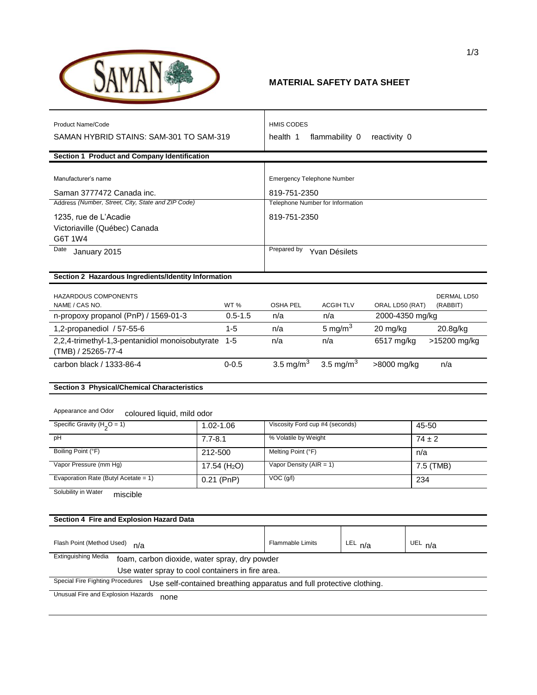

## **MATERIAL SAFETY DATA SHEET**

| Product Name/Code                                                                                               |                           | <b>HMIS CODES</b>                                |                         |                 |                            |  |
|-----------------------------------------------------------------------------------------------------------------|---------------------------|--------------------------------------------------|-------------------------|-----------------|----------------------------|--|
| SAMAN HYBRID STAINS: SAM-301 TO SAM-319                                                                         |                           | health 1<br>flammability 0<br>reactivity 0       |                         |                 |                            |  |
|                                                                                                                 |                           |                                                  |                         |                 |                            |  |
| Section 1 Product and Company Identification                                                                    |                           |                                                  |                         |                 |                            |  |
| Manufacturer's name                                                                                             |                           |                                                  |                         |                 |                            |  |
|                                                                                                                 |                           | <b>Emergency Telephone Number</b>                |                         |                 |                            |  |
| Saman 3777472 Canada inc.<br>Address (Number, Street, City, State and ZIP Code)                                 |                           | 819-751-2350<br>Telephone Number for Information |                         |                 |                            |  |
|                                                                                                                 |                           |                                                  |                         |                 |                            |  |
| 1235, rue de L'Acadie                                                                                           |                           | 819-751-2350                                     |                         |                 |                            |  |
| Victoriaville (Québec) Canada<br>G6T 1W4                                                                        |                           |                                                  |                         |                 |                            |  |
| Date                                                                                                            |                           | Prepared by Yvan Désilets                        |                         |                 |                            |  |
| January 2015                                                                                                    |                           |                                                  |                         |                 |                            |  |
| Section 2 Hazardous Ingredients/Identity Information                                                            |                           |                                                  |                         |                 |                            |  |
|                                                                                                                 |                           |                                                  |                         |                 |                            |  |
| <b>HAZARDOUS COMPONENTS</b>                                                                                     |                           |                                                  |                         |                 | DERMAL LD50                |  |
| NAME / CAS NO.                                                                                                  | <b>WT%</b><br>$0.5 - 1.5$ | <b>OSHA PEL</b><br>n/a                           | <b>ACGIH TLV</b><br>n/a | ORAL LD50 (RAT) | (RABBIT)                   |  |
| n-propoxy propanol (PnP) / 1569-01-3                                                                            |                           |                                                  |                         |                 | 2000-4350 mg/kg            |  |
| 1,2-propanediol / 57-55-6                                                                                       | 1-5                       | n/a                                              | 5 mg/m $3$              | 20 mg/kg        | 20.8g/kg                   |  |
| 2,2,4-trimethyl-1,3-pentanidiol monoisobutyrate<br>$1 - 5$<br>(TMB) / 25265-77-4                                |                           | n/a                                              | n/a                     |                 | 6517 mg/kg<br>>15200 mg/kg |  |
| carbon black / 1333-86-4                                                                                        | $0 - 0.5$                 | 3.5 mg/m $^{3}$                                  | 3.5 mg/m <sup>3</sup>   | >8000 mg/kg     | n/a                        |  |
| <b>Section 3 Physical/Chemical Characteristics</b>                                                              |                           |                                                  |                         |                 |                            |  |
|                                                                                                                 |                           |                                                  |                         |                 |                            |  |
| Appearance and Odor<br>coloured liquid, mild odor                                                               |                           |                                                  |                         |                 |                            |  |
| Specific Gravity ( $H_2O = 1$ )                                                                                 | 1.02-1.06                 | Viscosity Ford cup #4 (seconds)<br>45-50         |                         |                 |                            |  |
| pH                                                                                                              | $7.7 - 8.1$               | % Volatile by Weight<br>$74 \pm 2$               |                         |                 |                            |  |
| Boiling Point (°F)                                                                                              | 212-500                   | Melting Point (°F)<br>n/a                        |                         |                 |                            |  |
| Vapor Pressure (mm Hg)                                                                                          | 17.54 $(H2O)$             | Vapor Density ( $AIR = 1$ )<br>7.5 (TMB)         |                         |                 |                            |  |
| Evaporation Rate (Butyl Acetate = 1)                                                                            | $0.21$ (PnP)              | VOC (g/l)<br>234                                 |                         |                 |                            |  |
| Solubility in Water<br>miscible                                                                                 |                           |                                                  |                         |                 |                            |  |
|                                                                                                                 |                           |                                                  |                         |                 |                            |  |
| Section 4 Fire and Explosion Hazard Data                                                                        |                           |                                                  |                         |                 |                            |  |
|                                                                                                                 |                           |                                                  |                         |                 |                            |  |
| Flash Point (Method Used)<br>n/a                                                                                |                           | Flammable Limits                                 |                         | LEL n/a         | UEL n/a                    |  |
| <b>Extinguishing Media</b><br>foam, carbon dioxide, water spray, dry powder                                     |                           |                                                  |                         |                 |                            |  |
| Use water spray to cool containers in fire area.                                                                |                           |                                                  |                         |                 |                            |  |
| <b>Special Fire Fighting Procedures</b><br>Use self-contained breathing apparatus and full protective clothing. |                           |                                                  |                         |                 |                            |  |
| <b>Llougual Fire and Evalogian Hererds</b>                                                                      |                           |                                                  |                         |                 |                            |  |

Unusual Fire and Explosion Hazards none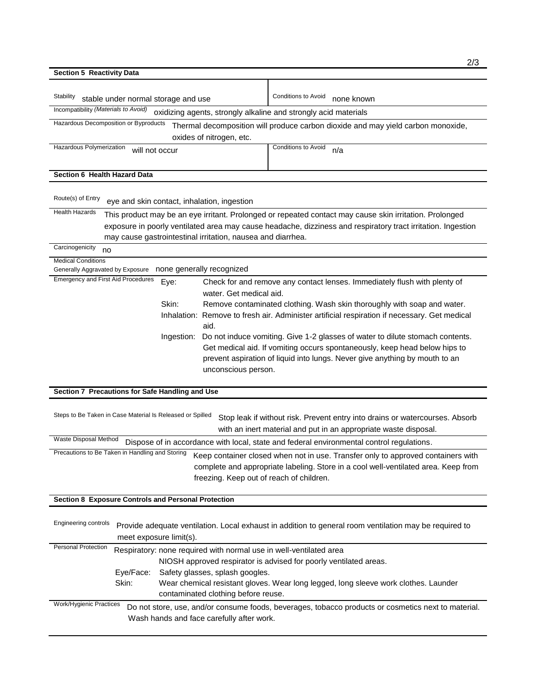| <b>Section 5 Reactivity Data</b>                                                                                               |                                                                                                                                                           | 2/3                                                                                                          |  |  |  |
|--------------------------------------------------------------------------------------------------------------------------------|-----------------------------------------------------------------------------------------------------------------------------------------------------------|--------------------------------------------------------------------------------------------------------------|--|--|--|
|                                                                                                                                |                                                                                                                                                           |                                                                                                              |  |  |  |
| Stability<br>stable under normal storage and use                                                                               |                                                                                                                                                           | Conditions to Avoid<br>none known                                                                            |  |  |  |
| Incompatibility (Materials to Avoid)                                                                                           |                                                                                                                                                           | oxidizing agents, strongly alkaline and strongly acid materials                                              |  |  |  |
| Hazardous Decomposition or Byproducts                                                                                          |                                                                                                                                                           | Thermal decomposition will produce carbon dioxide and may yield carbon monoxide,                             |  |  |  |
|                                                                                                                                | oxides of nitrogen, etc.                                                                                                                                  |                                                                                                              |  |  |  |
| Hazardous Polymerization<br>will not occur                                                                                     |                                                                                                                                                           | Conditions to Avoid<br>n/a                                                                                   |  |  |  |
|                                                                                                                                |                                                                                                                                                           |                                                                                                              |  |  |  |
| Section 6 Health Hazard Data                                                                                                   |                                                                                                                                                           |                                                                                                              |  |  |  |
| Route(s) of Entry                                                                                                              |                                                                                                                                                           |                                                                                                              |  |  |  |
| eye and skin contact, inhalation, ingestion<br><b>Health Hazards</b>                                                           |                                                                                                                                                           |                                                                                                              |  |  |  |
|                                                                                                                                |                                                                                                                                                           | This product may be an eye irritant. Prolonged or repeated contact may cause skin irritation. Prolonged      |  |  |  |
|                                                                                                                                |                                                                                                                                                           | exposure in poorly ventilated area may cause headache, dizziness and respiratory tract irritation. Ingestion |  |  |  |
| may cause gastrointestinal irritation, nausea and diarrhea.<br>Carcinogenicity                                                 |                                                                                                                                                           |                                                                                                              |  |  |  |
| no                                                                                                                             |                                                                                                                                                           |                                                                                                              |  |  |  |
| <b>Medical Conditions</b><br>none generally recognized<br>Generally Aggravated by Exposure                                     |                                                                                                                                                           |                                                                                                              |  |  |  |
| <b>Emergency and First Aid Procedures</b><br>Eye:                                                                              |                                                                                                                                                           | Check for and remove any contact lenses. Immediately flush with plenty of                                    |  |  |  |
|                                                                                                                                | water. Get medical aid.                                                                                                                                   |                                                                                                              |  |  |  |
| Skin:                                                                                                                          | Remove contaminated clothing. Wash skin thoroughly with soap and water.                                                                                   |                                                                                                              |  |  |  |
|                                                                                                                                | Inhalation: Remove to fresh air. Administer artificial respiration if necessary. Get medical                                                              |                                                                                                              |  |  |  |
|                                                                                                                                | aid.                                                                                                                                                      |                                                                                                              |  |  |  |
| Ingestion:                                                                                                                     |                                                                                                                                                           | Do not induce vomiting. Give 1-2 glasses of water to dilute stomach contents.                                |  |  |  |
|                                                                                                                                | Get medical aid. If vomiting occurs spontaneously, keep head below hips to<br>prevent aspiration of liquid into lungs. Never give anything by mouth to an |                                                                                                              |  |  |  |
|                                                                                                                                |                                                                                                                                                           |                                                                                                              |  |  |  |
|                                                                                                                                | unconscious person.                                                                                                                                       |                                                                                                              |  |  |  |
| Section 7 Precautions for Safe Handling and Use                                                                                |                                                                                                                                                           |                                                                                                              |  |  |  |
|                                                                                                                                |                                                                                                                                                           |                                                                                                              |  |  |  |
| Steps to Be Taken in Case Material Is Released or Spilled                                                                      |                                                                                                                                                           | Stop leak if without risk. Prevent entry into drains or watercourses. Absorb                                 |  |  |  |
|                                                                                                                                |                                                                                                                                                           | with an inert material and put in an appropriate waste disposal.                                             |  |  |  |
| Waste Disposal Method                                                                                                          |                                                                                                                                                           | Dispose of in accordance with local, state and federal environmental control regulations.                    |  |  |  |
| Precautions to Be Taken in Handling and Storing                                                                                |                                                                                                                                                           | Keep container closed when not in use. Transfer only to approved containers with                             |  |  |  |
|                                                                                                                                |                                                                                                                                                           |                                                                                                              |  |  |  |
| complete and appropriate labeling. Store in a cool well-ventilated area. Keep from<br>freezing. Keep out of reach of children. |                                                                                                                                                           |                                                                                                              |  |  |  |
|                                                                                                                                |                                                                                                                                                           |                                                                                                              |  |  |  |
| Section 8 Exposure Controls and Personal Protection                                                                            |                                                                                                                                                           |                                                                                                              |  |  |  |
|                                                                                                                                |                                                                                                                                                           |                                                                                                              |  |  |  |
| <b>Engineering controls</b>                                                                                                    |                                                                                                                                                           | Provide adequate ventilation. Local exhaust in addition to general room ventilation may be required to       |  |  |  |
| meet exposure limit(s).                                                                                                        |                                                                                                                                                           |                                                                                                              |  |  |  |
| <b>Personal Protection</b><br>Respiratory: none required with normal use in well-ventilated area                               |                                                                                                                                                           |                                                                                                              |  |  |  |
|                                                                                                                                |                                                                                                                                                           | NIOSH approved respirator is advised for poorly ventilated areas.                                            |  |  |  |
| Eye/Face:                                                                                                                      | Safety glasses, splash googles.                                                                                                                           |                                                                                                              |  |  |  |
| Skin:<br>Wear chemical resistant gloves. Wear long legged, long sleeve work clothes. Launder                                   |                                                                                                                                                           |                                                                                                              |  |  |  |
|                                                                                                                                | contaminated clothing before reuse.                                                                                                                       |                                                                                                              |  |  |  |
| Work/Hygienic Practices                                                                                                        |                                                                                                                                                           | Do not store, use, and/or consume foods, beverages, tobacco products or cosmetics next to material.          |  |  |  |
| Wash hands and face carefully after work.                                                                                      |                                                                                                                                                           |                                                                                                              |  |  |  |
|                                                                                                                                |                                                                                                                                                           |                                                                                                              |  |  |  |